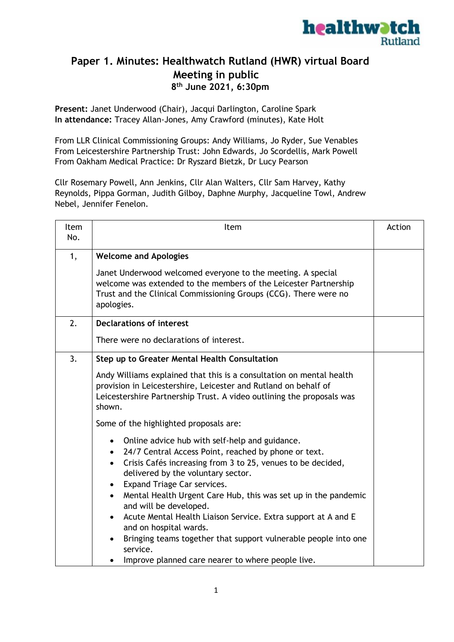

## **Paper 1. Minutes: Healthwatch Rutland (HWR) virtual Board Meeting in public 8 th June 2021, 6:30pm**

**Present:** Janet Underwood (Chair), Jacqui Darlington, Caroline Spark **In attendance:** Tracey Allan-Jones, Amy Crawford (minutes), Kate Holt

From LLR Clinical Commissioning Groups: Andy Williams, Jo Ryder, Sue Venables From Leicestershire Partnership Trust: John Edwards, Jo Scordellis, Mark Powell From Oakham Medical Practice: Dr Ryszard Bietzk, Dr Lucy Pearson

Cllr Rosemary Powell, Ann Jenkins, Cllr Alan Walters, Cllr Sam Harvey, Kathy Reynolds, Pippa Gorman, Judith Gilboy, Daphne Murphy, Jacqueline Towl, Andrew Nebel, Jennifer Fenelon.

| Item<br>No. | Item                                                                                                                                                                                                                                                                                                                                                                                                                                                                                                                                                                                                                                   | Action |
|-------------|----------------------------------------------------------------------------------------------------------------------------------------------------------------------------------------------------------------------------------------------------------------------------------------------------------------------------------------------------------------------------------------------------------------------------------------------------------------------------------------------------------------------------------------------------------------------------------------------------------------------------------------|--------|
| 1,          | <b>Welcome and Apologies</b><br>Janet Underwood welcomed everyone to the meeting. A special<br>welcome was extended to the members of the Leicester Partnership<br>Trust and the Clinical Commissioning Groups (CCG). There were no<br>apologies.                                                                                                                                                                                                                                                                                                                                                                                      |        |
| 2.          | <b>Declarations of interest</b><br>There were no declarations of interest.                                                                                                                                                                                                                                                                                                                                                                                                                                                                                                                                                             |        |
| 3.          | Step up to Greater Mental Health Consultation<br>Andy Williams explained that this is a consultation on mental health<br>provision in Leicestershire, Leicester and Rutland on behalf of<br>Leicestershire Partnership Trust. A video outlining the proposals was<br>shown.<br>Some of the highlighted proposals are:                                                                                                                                                                                                                                                                                                                  |        |
|             | Online advice hub with self-help and guidance.<br>$\bullet$<br>24/7 Central Access Point, reached by phone or text.<br>$\bullet$<br>Crisis Cafés increasing from 3 to 25, venues to be decided,<br>$\bullet$<br>delivered by the voluntary sector.<br>Expand Triage Car services.<br>$\bullet$<br>Mental Health Urgent Care Hub, this was set up in the pandemic<br>$\bullet$<br>and will be developed.<br>Acute Mental Health Liaison Service. Extra support at A and E<br>and on hospital wards.<br>Bringing teams together that support vulnerable people into one<br>service.<br>Improve planned care nearer to where people live. |        |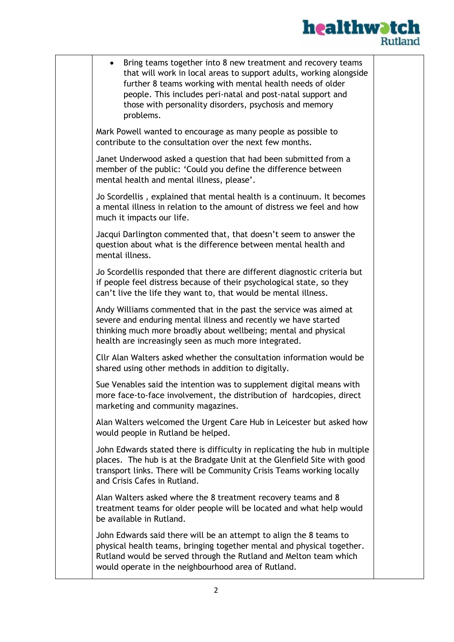

| Bring teams together into 8 new treatment and recovery teams<br>that will work in local areas to support adults, working alongside<br>further 8 teams working with mental health needs of older<br>people. This includes peri-natal and post-natal support and<br>those with personality disorders, psychosis and memory<br>problems. |  |
|---------------------------------------------------------------------------------------------------------------------------------------------------------------------------------------------------------------------------------------------------------------------------------------------------------------------------------------|--|
| Mark Powell wanted to encourage as many people as possible to<br>contribute to the consultation over the next few months.                                                                                                                                                                                                             |  |
| Janet Underwood asked a question that had been submitted from a<br>member of the public: 'Could you define the difference between<br>mental health and mental illness, please'.                                                                                                                                                       |  |
| Jo Scordellis, explained that mental health is a continuum. It becomes<br>a mental illness in relation to the amount of distress we feel and how<br>much it impacts our life.                                                                                                                                                         |  |
| Jacqui Darlington commented that, that doesn't seem to answer the<br>question about what is the difference between mental health and<br>mental illness.                                                                                                                                                                               |  |
| Jo Scordellis responded that there are different diagnostic criteria but<br>if people feel distress because of their psychological state, so they<br>can't live the life they want to, that would be mental illness.                                                                                                                  |  |
| Andy Williams commented that in the past the service was aimed at<br>severe and enduring mental illness and recently we have started<br>thinking much more broadly about wellbeing; mental and physical<br>health are increasingly seen as much more integrated.                                                                      |  |
| Cllr Alan Walters asked whether the consultation information would be<br>shared using other methods in addition to digitally.                                                                                                                                                                                                         |  |
| Sue Venables said the intention was to supplement digital means with<br>more face-to-face involvement, the distribution of hardcopies, direct<br>marketing and community magazines.                                                                                                                                                   |  |
| Alan Walters welcomed the Urgent Care Hub in Leicester but asked how<br>would people in Rutland be helped.                                                                                                                                                                                                                            |  |
| John Edwards stated there is difficulty in replicating the hub in multiple<br>places. The hub is at the Bradgate Unit at the Glenfield Site with good<br>transport links. There will be Community Crisis Teams working locally<br>and Crisis Cafes in Rutland.                                                                        |  |
| Alan Walters asked where the 8 treatment recovery teams and 8<br>treatment teams for older people will be located and what help would<br>be available in Rutland.                                                                                                                                                                     |  |
| John Edwards said there will be an attempt to align the 8 teams to<br>physical health teams, bringing together mental and physical together.<br>Rutland would be served through the Rutland and Melton team which<br>would operate in the neighbourhood area of Rutland.                                                              |  |
|                                                                                                                                                                                                                                                                                                                                       |  |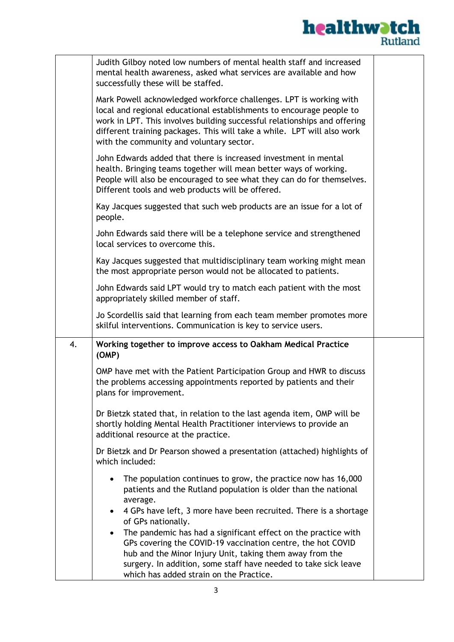

|    | Judith Gilboy noted low numbers of mental health staff and increased<br>mental health awareness, asked what services are available and how<br>successfully these will be staffed.                                                                                                                                                              |  |
|----|------------------------------------------------------------------------------------------------------------------------------------------------------------------------------------------------------------------------------------------------------------------------------------------------------------------------------------------------|--|
|    | Mark Powell acknowledged workforce challenges. LPT is working with<br>local and regional educational establishments to encourage people to<br>work in LPT. This involves building successful relationships and offering<br>different training packages. This will take a while. LPT will also work<br>with the community and voluntary sector. |  |
|    | John Edwards added that there is increased investment in mental<br>health. Bringing teams together will mean better ways of working.<br>People will also be encouraged to see what they can do for themselves.<br>Different tools and web products will be offered.                                                                            |  |
|    | Kay Jacques suggested that such web products are an issue for a lot of<br>people.                                                                                                                                                                                                                                                              |  |
|    | John Edwards said there will be a telephone service and strengthened<br>local services to overcome this.                                                                                                                                                                                                                                       |  |
|    | Kay Jacques suggested that multidisciplinary team working might mean<br>the most appropriate person would not be allocated to patients.                                                                                                                                                                                                        |  |
|    | John Edwards said LPT would try to match each patient with the most<br>appropriately skilled member of staff.                                                                                                                                                                                                                                  |  |
|    | Jo Scordellis said that learning from each team member promotes more<br>skilful interventions. Communication is key to service users.                                                                                                                                                                                                          |  |
| 4. | Working together to improve access to Oakham Medical Practice<br>(OMP)                                                                                                                                                                                                                                                                         |  |
|    | OMP have met with the Patient Participation Group and HWR to discuss<br>the problems accessing appointments reported by patients and their<br>plans for improvement.                                                                                                                                                                           |  |
|    | Dr Bietzk stated that, in relation to the last agenda item, OMP will be<br>shortly holding Mental Health Practitioner interviews to provide an<br>additional resource at the practice.                                                                                                                                                         |  |
|    | Dr Bietzk and Dr Pearson showed a presentation (attached) highlights of<br>which included:                                                                                                                                                                                                                                                     |  |
|    | The population continues to grow, the practice now has 16,000<br>$\bullet$<br>patients and the Rutland population is older than the national<br>average.                                                                                                                                                                                       |  |
|    | 4 GPs have left, 3 more have been recruited. There is a shortage<br>$\bullet$<br>of GPs nationally.                                                                                                                                                                                                                                            |  |
|    | The pandemic has had a significant effect on the practice with<br>$\bullet$                                                                                                                                                                                                                                                                    |  |
|    | GPs covering the COVID-19 vaccination centre, the hot COVID                                                                                                                                                                                                                                                                                    |  |
|    | hub and the Minor Injury Unit, taking them away from the<br>surgery. In addition, some staff have needed to take sick leave                                                                                                                                                                                                                    |  |
|    | which has added strain on the Practice.                                                                                                                                                                                                                                                                                                        |  |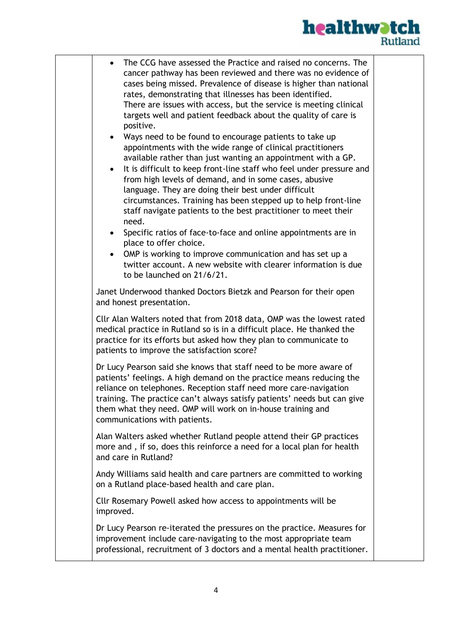

| The CCG have assessed the Practice and raised no concerns. The<br>$\bullet$<br>cancer pathway has been reviewed and there was no evidence of<br>cases being missed. Prevalence of disease is higher than national<br>rates, demonstrating that illnesses has been identified.<br>There are issues with access, but the service is meeting clinical<br>targets well and patient feedback about the quality of care is<br>positive.<br>Ways need to be found to encourage patients to take up<br>appointments with the wide range of clinical practitioners<br>available rather than just wanting an appointment with a GP.<br>It is difficult to keep front-line staff who feel under pressure and<br>$\bullet$<br>from high levels of demand, and in some cases, abusive<br>language. They are doing their best under difficult |  |
|---------------------------------------------------------------------------------------------------------------------------------------------------------------------------------------------------------------------------------------------------------------------------------------------------------------------------------------------------------------------------------------------------------------------------------------------------------------------------------------------------------------------------------------------------------------------------------------------------------------------------------------------------------------------------------------------------------------------------------------------------------------------------------------------------------------------------------|--|
| circumstances. Training has been stepped up to help front-line<br>staff navigate patients to the best practitioner to meet their<br>need.                                                                                                                                                                                                                                                                                                                                                                                                                                                                                                                                                                                                                                                                                       |  |
| Specific ratios of face-to-face and online appointments are in<br>$\bullet$<br>place to offer choice.<br>OMP is working to improve communication and has set up a<br>twitter account. A new website with clearer information is due<br>to be launched on 21/6/21.                                                                                                                                                                                                                                                                                                                                                                                                                                                                                                                                                               |  |
| Janet Underwood thanked Doctors Bietzk and Pearson for their open<br>and honest presentation.                                                                                                                                                                                                                                                                                                                                                                                                                                                                                                                                                                                                                                                                                                                                   |  |
| Cllr Alan Walters noted that from 2018 data, OMP was the lowest rated<br>medical practice in Rutland so is in a difficult place. He thanked the<br>practice for its efforts but asked how they plan to communicate to<br>patients to improve the satisfaction score?                                                                                                                                                                                                                                                                                                                                                                                                                                                                                                                                                            |  |
| Dr Lucy Pearson said she knows that staff need to be more aware of<br>patients' feelings. A high demand on the practice means reducing the<br>reliance on telephones. Reception staff need more care-navigation<br>training. The practice can't always satisfy patients' needs but can give<br>them what they need. OMP will work on in-house training and<br>communications with patients.                                                                                                                                                                                                                                                                                                                                                                                                                                     |  |
| Alan Walters asked whether Rutland people attend their GP practices<br>more and, if so, does this reinforce a need for a local plan for health<br>and care in Rutland?                                                                                                                                                                                                                                                                                                                                                                                                                                                                                                                                                                                                                                                          |  |
| Andy Williams said health and care partners are committed to working<br>on a Rutland place-based health and care plan.                                                                                                                                                                                                                                                                                                                                                                                                                                                                                                                                                                                                                                                                                                          |  |
| Cllr Rosemary Powell asked how access to appointments will be<br>improved.                                                                                                                                                                                                                                                                                                                                                                                                                                                                                                                                                                                                                                                                                                                                                      |  |
| Dr Lucy Pearson re-iterated the pressures on the practice. Measures for<br>improvement include care-navigating to the most appropriate team<br>professional, recruitment of 3 doctors and a mental health practitioner.                                                                                                                                                                                                                                                                                                                                                                                                                                                                                                                                                                                                         |  |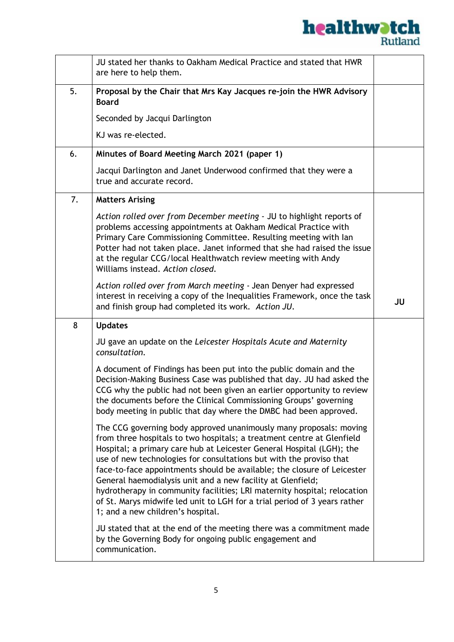

|    | JU stated her thanks to Oakham Medical Practice and stated that HWR<br>are here to help them.                                                                                                                                                                                                                                                                                                                                                                                                                                                                                                                                        |    |
|----|--------------------------------------------------------------------------------------------------------------------------------------------------------------------------------------------------------------------------------------------------------------------------------------------------------------------------------------------------------------------------------------------------------------------------------------------------------------------------------------------------------------------------------------------------------------------------------------------------------------------------------------|----|
| 5. | Proposal by the Chair that Mrs Kay Jacques re-join the HWR Advisory<br><b>Board</b>                                                                                                                                                                                                                                                                                                                                                                                                                                                                                                                                                  |    |
|    | Seconded by Jacqui Darlington                                                                                                                                                                                                                                                                                                                                                                                                                                                                                                                                                                                                        |    |
|    | KJ was re-elected.                                                                                                                                                                                                                                                                                                                                                                                                                                                                                                                                                                                                                   |    |
| 6. | Minutes of Board Meeting March 2021 (paper 1)                                                                                                                                                                                                                                                                                                                                                                                                                                                                                                                                                                                        |    |
|    | Jacqui Darlington and Janet Underwood confirmed that they were a<br>true and accurate record.                                                                                                                                                                                                                                                                                                                                                                                                                                                                                                                                        |    |
| 7. | <b>Matters Arising</b>                                                                                                                                                                                                                                                                                                                                                                                                                                                                                                                                                                                                               |    |
|    | Action rolled over from December meeting - JU to highlight reports of<br>problems accessing appointments at Oakham Medical Practice with<br>Primary Care Commissioning Committee. Resulting meeting with lan<br>Potter had not taken place. Janet informed that she had raised the issue<br>at the regular CCG/local Healthwatch review meeting with Andy<br>Williams instead. Action closed.                                                                                                                                                                                                                                        |    |
|    | Action rolled over from March meeting - Jean Denyer had expressed<br>interest in receiving a copy of the Inequalities Framework, once the task<br>and finish group had completed its work. Action JU.                                                                                                                                                                                                                                                                                                                                                                                                                                | JU |
| 8  | <b>Updates</b>                                                                                                                                                                                                                                                                                                                                                                                                                                                                                                                                                                                                                       |    |
|    | JU gave an update on the Leicester Hospitals Acute and Maternity<br>consultation.                                                                                                                                                                                                                                                                                                                                                                                                                                                                                                                                                    |    |
|    | A document of Findings has been put into the public domain and the<br>Decision-Making Business Case was published that day. JU had asked the<br>CCG why the public had not been given an earlier opportunity to review<br>the documents before the Clinical Commissioning Groups' governing<br>body meeting in public that day where the DMBC had been approved.                                                                                                                                                                                                                                                                     |    |
|    | The CCG governing body approved unanimously many proposals: moving<br>from three hospitals to two hospitals; a treatment centre at Glenfield<br>Hospital; a primary care hub at Leicester General Hospital (LGH); the<br>use of new technologies for consultations but with the proviso that<br>face-to-face appointments should be available; the closure of Leicester<br>General haemodialysis unit and a new facility at Glenfield;<br>hydrotherapy in community facilities; LRI maternity hospital; relocation<br>of St. Marys midwife led unit to LGH for a trial period of 3 years rather<br>1; and a new children's hospital. |    |
|    | JU stated that at the end of the meeting there was a commitment made<br>by the Governing Body for ongoing public engagement and<br>communication.                                                                                                                                                                                                                                                                                                                                                                                                                                                                                    |    |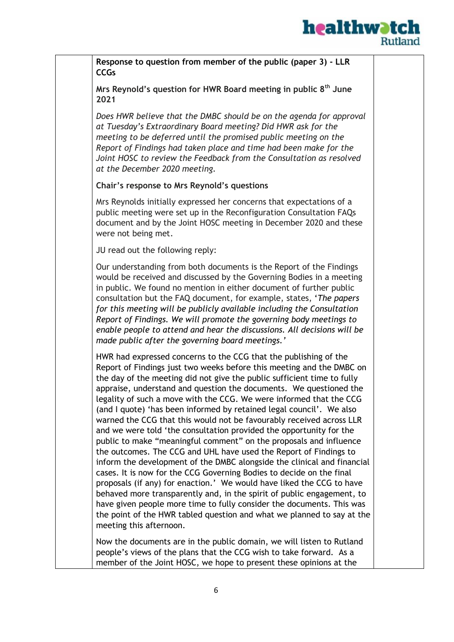

**Response to question from member of the public (paper 3) - LLR CCGs**

**Mrs Reynold's question for HWR Board meeting in public 8th June 2021**

*Does HWR believe that the DMBC should be on the agenda for approval at Tuesday's Extraordinary Board meeting? Did HWR ask for the meeting to be deferred until the promised public meeting on the Report of Findings had taken place and time had been make for the Joint HOSC to review the Feedback from the Consultation as resolved at the December 2020 meeting.*

**Chair's response to Mrs Reynold's questions**

Mrs Reynolds initially expressed her concerns that expectations of a public meeting were set up in the Reconfiguration Consultation FAQs document and by the Joint HOSC meeting in December 2020 and these were not being met.

JU read out the following reply:

Our understanding from both documents is the Report of the Findings would be received and discussed by the Governing Bodies in a meeting in public. We found no mention in either document of further public consultation but the FAQ document, for example, states, '*The papers for this meeting will be publicly available including the Consultation Report of Findings. We will promote the governing body meetings to enable people to attend and hear the discussions. All decisions will be made public after the governing board meetings.'*

HWR had expressed concerns to the CCG that the publishing of the Report of Findings just two weeks before this meeting and the DMBC on the day of the meeting did not give the public sufficient time to fully appraise, understand and question the documents. We questioned the legality of such a move with the CCG. We were informed that the CCG (and I quote) 'has been informed by retained legal council'. We also warned the CCG that this would not be favourably received across LLR and we were told 'the consultation provided the opportunity for the public to make "meaningful comment" on the proposals and influence the outcomes. The CCG and UHL have used the Report of Findings to inform the development of the DMBC alongside the clinical and financial cases. It is now for the CCG Governing Bodies to decide on the final proposals (if any) for enaction.' We would have liked the CCG to have behaved more transparently and, in the spirit of public engagement, to have given people more time to fully consider the documents. This was the point of the HWR tabled question and what we planned to say at the meeting this afternoon.

Now the documents are in the public domain, we will listen to Rutland people's views of the plans that the CCG wish to take forward. As a member of the Joint HOSC, we hope to present these opinions at the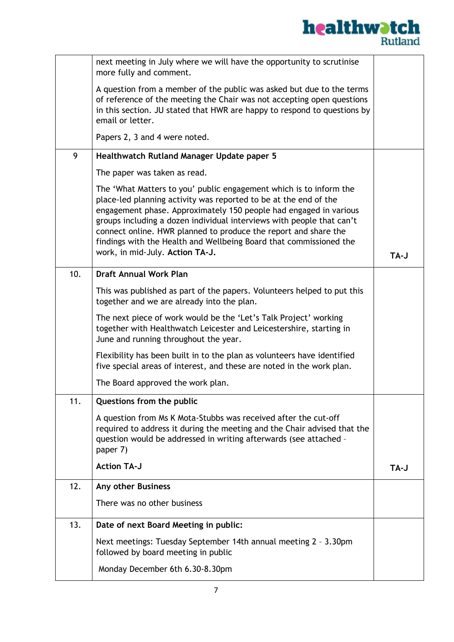

|     | next meeting in July where we will have the opportunity to scrutinise<br>more fully and comment.                                                                                                                                                                                                                                                                                                                                                                 |      |
|-----|------------------------------------------------------------------------------------------------------------------------------------------------------------------------------------------------------------------------------------------------------------------------------------------------------------------------------------------------------------------------------------------------------------------------------------------------------------------|------|
|     | A question from a member of the public was asked but due to the terms<br>of reference of the meeting the Chair was not accepting open questions<br>in this section. JU stated that HWR are happy to respond to questions by<br>email or letter.                                                                                                                                                                                                                  |      |
|     | Papers 2, 3 and 4 were noted.                                                                                                                                                                                                                                                                                                                                                                                                                                    |      |
| 9   | Healthwatch Rutland Manager Update paper 5                                                                                                                                                                                                                                                                                                                                                                                                                       |      |
|     | The paper was taken as read.                                                                                                                                                                                                                                                                                                                                                                                                                                     |      |
|     | The 'What Matters to you' public engagement which is to inform the<br>place-led planning activity was reported to be at the end of the<br>engagement phase. Approximately 150 people had engaged in various<br>groups including a dozen individual interviews with people that can't<br>connect online. HWR planned to produce the report and share the<br>findings with the Health and Wellbeing Board that commissioned the<br>work, in mid-July. Action TA-J. | TA-J |
| 10. | <b>Draft Annual Work Plan</b>                                                                                                                                                                                                                                                                                                                                                                                                                                    |      |
|     | This was published as part of the papers. Volunteers helped to put this<br>together and we are already into the plan.                                                                                                                                                                                                                                                                                                                                            |      |
|     | The next piece of work would be the 'Let's Talk Project' working<br>together with Healthwatch Leicester and Leicestershire, starting in<br>June and running throughout the year.                                                                                                                                                                                                                                                                                 |      |
|     | Flexibility has been built in to the plan as volunteers have identified<br>five special areas of interest, and these are noted in the work plan.                                                                                                                                                                                                                                                                                                                 |      |
|     | The Board approved the work plan.                                                                                                                                                                                                                                                                                                                                                                                                                                |      |
| 11. | Questions from the public                                                                                                                                                                                                                                                                                                                                                                                                                                        |      |
|     | A question from Ms K Mota-Stubbs was received after the cut-off<br>required to address it during the meeting and the Chair advised that the<br>question would be addressed in writing afterwards (see attached -<br>paper 7)                                                                                                                                                                                                                                     |      |
|     | <b>Action TA-J</b>                                                                                                                                                                                                                                                                                                                                                                                                                                               | TA-J |
| 12. | Any other Business                                                                                                                                                                                                                                                                                                                                                                                                                                               |      |
|     | There was no other business                                                                                                                                                                                                                                                                                                                                                                                                                                      |      |
| 13. | Date of next Board Meeting in public:                                                                                                                                                                                                                                                                                                                                                                                                                            |      |
|     | Next meetings: Tuesday September 14th annual meeting 2 - 3.30pm<br>followed by board meeting in public                                                                                                                                                                                                                                                                                                                                                           |      |
|     | Monday December 6th 6.30-8.30pm                                                                                                                                                                                                                                                                                                                                                                                                                                  |      |
|     |                                                                                                                                                                                                                                                                                                                                                                                                                                                                  |      |